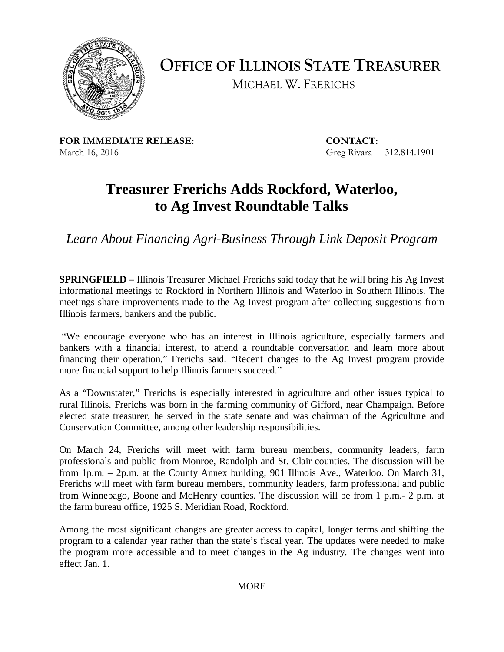

**OFFICE OF ILLINOIS STATE TREASURER**

MICHAEL W. FRERICHS

**FOR IMMEDIATE RELEASE: CONTACT:** March 16, 2016 Greg Rivara 312.814.1901

## **Treasurer Frerichs Adds Rockford, Waterloo, to Ag Invest Roundtable Talks**

*Learn About Financing Agri-Business Through Link Deposit Program*

**SPRINGFIELD –** Illinois Treasurer Michael Frerichs said today that he will bring his Ag Invest informational meetings to Rockford in Northern Illinois and Waterloo in Southern Illinois. The meetings share improvements made to the Ag Invest program after collecting suggestions from Illinois farmers, bankers and the public.

"We encourage everyone who has an interest in Illinois agriculture, especially farmers and bankers with a financial interest, to attend a roundtable conversation and learn more about financing their operation," Frerichs said. "Recent changes to the Ag Invest program provide more financial support to help Illinois farmers succeed."

As a "Downstater," Frerichs is especially interested in agriculture and other issues typical to rural Illinois. Frerichs was born in the farming community of Gifford, near Champaign. Before elected state treasurer, he served in the state senate and was chairman of the Agriculture and Conservation Committee, among other leadership responsibilities.

On March 24, Frerichs will meet with farm bureau members, community leaders, farm professionals and public from Monroe, Randolph and St. Clair counties. The discussion will be from 1p.m. – 2p.m. at the County Annex building, 901 Illinois Ave., Waterloo. On March 31, Frerichs will meet with farm bureau members, community leaders, farm professional and public from Winnebago, Boone and McHenry counties. The discussion will be from 1 p.m.- 2 p.m. at the farm bureau office, 1925 S. Meridian Road, Rockford.

Among the most significant changes are greater access to capital, longer terms and shifting the program to a calendar year rather than the state's fiscal year. The updates were needed to make the program more accessible and to meet changes in the Ag industry. The changes went into effect Jan. 1.

MORE